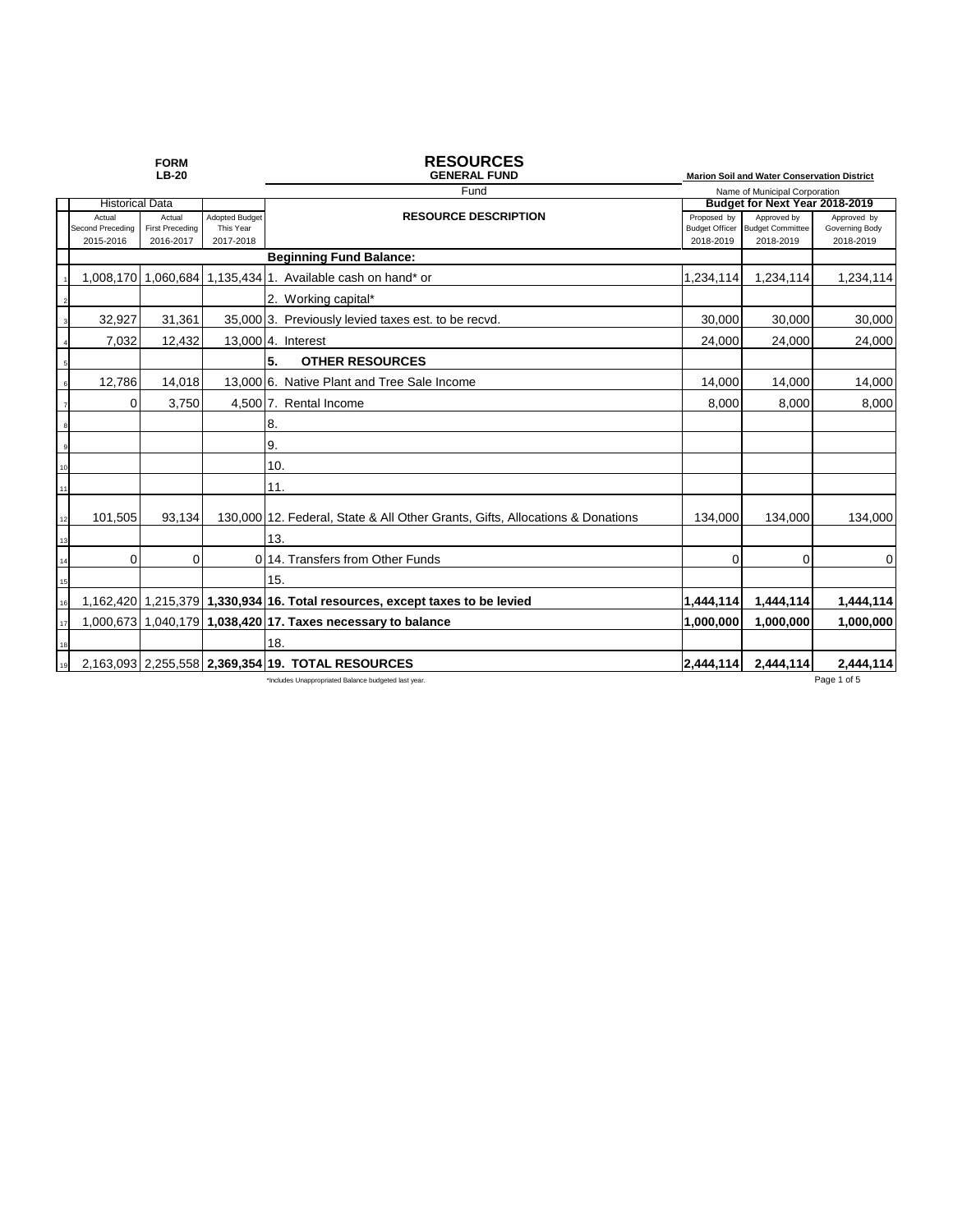|    |                                         | <b>FORM</b><br><b>LB-20</b>                   |                                                 | <b>RESOURCES</b><br><b>GENERAL FUND</b>                                       |                                                   | <b>Marion Soil and Water Conservation District</b>  |                                            |
|----|-----------------------------------------|-----------------------------------------------|-------------------------------------------------|-------------------------------------------------------------------------------|---------------------------------------------------|-----------------------------------------------------|--------------------------------------------|
|    |                                         |                                               |                                                 | Fund                                                                          |                                                   | Name of Municipal Corporation                       |                                            |
|    | <b>Historical Data</b>                  |                                               |                                                 |                                                                               | Budget for Next Year 2018-2019                    |                                                     |                                            |
|    | Actual<br>Second Preceding<br>2015-2016 | Actual<br><b>First Preceding</b><br>2016-2017 | <b>Adopted Budget</b><br>This Year<br>2017-2018 | <b>RESOURCE DESCRIPTION</b>                                                   | Proposed by<br><b>Budget Officer</b><br>2018-2019 | Approved by<br><b>Budget Committee</b><br>2018-2019 | Approved by<br>Governing Body<br>2018-2019 |
|    |                                         |                                               |                                                 | <b>Beginning Fund Balance:</b>                                                |                                                   |                                                     |                                            |
|    | 1.008.170                               | 1,060,684                                     |                                                 | 1.135.4341. Available cash on hand* or                                        | 1,234,114                                         | 1,234,114                                           | 1,234,114                                  |
|    |                                         |                                               |                                                 | 2. Working capital*                                                           |                                                   |                                                     |                                            |
|    | 32.927                                  | 31,361                                        |                                                 | 35,000 3. Previously levied taxes est. to be recvd.                           | 30,000                                            | 30,000                                              | 30,000                                     |
|    | 7,032                                   | 12,432                                        |                                                 | 13,000 4. Interest                                                            | 24,000                                            | 24,000                                              | 24,000                                     |
|    |                                         |                                               |                                                 | 5.<br><b>OTHER RESOURCES</b>                                                  |                                                   |                                                     |                                            |
|    | 12,786                                  | 14.018                                        |                                                 | 13,000 6. Native Plant and Tree Sale Income                                   | 14,000                                            | 14,000                                              | 14,000                                     |
|    | $\Omega$                                | 3,750                                         |                                                 | 4,500 7. Rental Income                                                        | 8,000                                             | 8,000                                               | 8,000                                      |
|    |                                         |                                               |                                                 | 8.                                                                            |                                                   |                                                     |                                            |
|    |                                         |                                               |                                                 | 9.                                                                            |                                                   |                                                     |                                            |
|    |                                         |                                               |                                                 | 10.                                                                           |                                                   |                                                     |                                            |
| 11 |                                         |                                               |                                                 | 11.                                                                           |                                                   |                                                     |                                            |
|    | 101,505                                 | 93,134                                        |                                                 | 130,000 12. Federal, State & All Other Grants, Gifts, Allocations & Donations | 134,000                                           | 134,000                                             | 134,000                                    |
|    |                                         |                                               |                                                 | 13.                                                                           |                                                   |                                                     |                                            |
|    | $\Omega$                                | $\Omega$                                      |                                                 | 0.14. Transfers from Other Funds                                              | $\Omega$                                          | $\Omega$                                            | 0                                          |
| 15 |                                         |                                               |                                                 | 15.                                                                           |                                                   |                                                     |                                            |
|    |                                         |                                               |                                                 | 1,162,420 1,215,379 1,330,934 16. Total resources, except taxes to be levied  | 1.444.114                                         | 1,444,114                                           | 1,444,114                                  |
|    |                                         |                                               |                                                 | 1,000,673 1,040,179 1,038,420 17. Taxes necessary to balance                  | 1,000,000                                         | 1,000,000                                           | 1,000,000                                  |
| 18 |                                         |                                               |                                                 | 18.                                                                           |                                                   |                                                     |                                            |
|    |                                         |                                               |                                                 | 2,163,093 2,255,558 2,369,354 19. TOTAL RESOURCES                             | 2.444.114                                         | 2,444,114                                           | 2,444,114                                  |
|    |                                         |                                               |                                                 | *Includes Unappropriated Balance budgeted last year.                          |                                                   |                                                     | Page 1 of 5                                |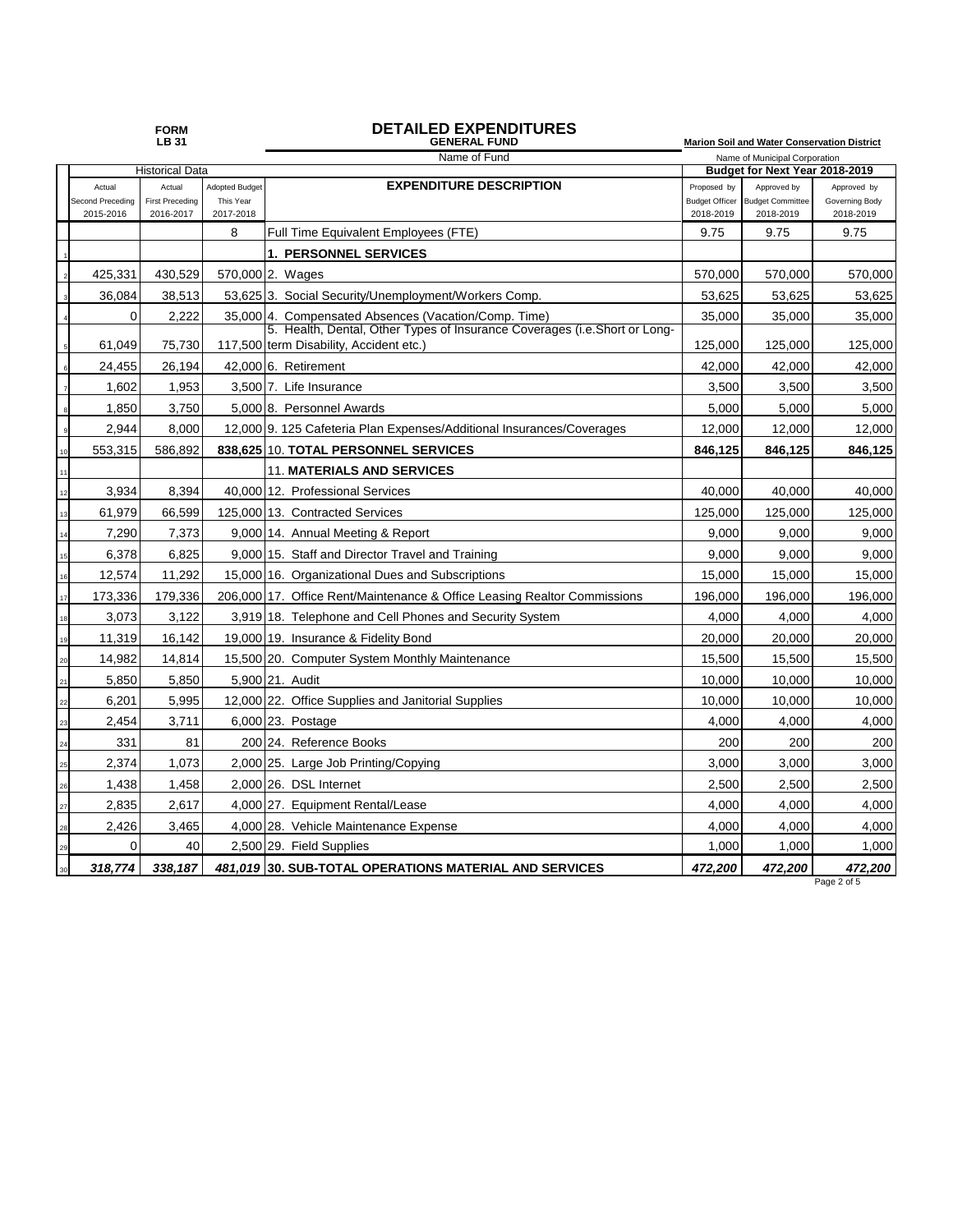## **FORM DETAILED EXPENDITURES LB 31 GENERAL FUND Marion Soil and Water Conservation District**

|    | Name of Fund<br><b>Historical Data</b> |                        |                       | Name of Municipal Corporation<br>Budget for Next Year 2018-2019                                                       |                       |                         |                |
|----|----------------------------------------|------------------------|-----------------------|-----------------------------------------------------------------------------------------------------------------------|-----------------------|-------------------------|----------------|
|    | Actual                                 | Actual                 | <b>Adopted Budget</b> | <b>EXPENDITURE DESCRIPTION</b>                                                                                        | Proposed by           | Approved by             | Approved by    |
|    | Second Preceding                       | <b>First Preceding</b> | This Year             |                                                                                                                       | <b>Budget Officer</b> | <b>Budget Committee</b> | Governing Body |
|    | 2015-2016                              | 2016-2017              | 2017-2018             |                                                                                                                       | 2018-2019             | 2018-2019               | 2018-2019      |
|    |                                        |                        | 8                     | Full Time Equivalent Employees (FTE)                                                                                  | 9.75                  | 9.75                    | 9.75           |
|    |                                        |                        |                       | <b>1. PERSONNEL SERVICES</b>                                                                                          |                       |                         |                |
|    | 425,331                                | 430,529                |                       | 570,000 2. Wages                                                                                                      | 570,000               | 570,000                 | 570,000        |
|    | 36,084                                 | 38,513                 |                       | 53,625 3. Social Security/Unemployment/Workers Comp.                                                                  | 53,625                | 53,625                  | 53,625         |
|    | 0                                      | 2.222                  |                       | 35,000 4. Compensated Absences (Vacation/Comp. Time)                                                                  | 35,000                | 35,000                  | 35,000         |
|    | 61,049                                 | 75,730                 |                       | 5. Health, Dental, Other Types of Insurance Coverages (i.e. Short or Long-<br>117,500 term Disability, Accident etc.) | 125,000               | 125,000                 | 125,000        |
|    | 24,455                                 | 26,194                 |                       | 42.000 6. Retirement                                                                                                  | 42,000                | 42,000                  | 42,000         |
|    | 1,602                                  | 1,953                  |                       | 3,500 7. Life Insurance                                                                                               | 3,500                 | 3,500                   | 3,500          |
|    | 1,850                                  | 3,750                  |                       | 5,000 8. Personnel Awards                                                                                             | 5,000                 | 5,000                   | 5,000          |
|    |                                        |                        |                       |                                                                                                                       |                       |                         |                |
|    | 2,944                                  | 8,000                  |                       | 12,000 9. 125 Cafeteria Plan Expenses/Additional Insurances/Coverages                                                 | 12,000                | 12,000                  | 12,000         |
|    | 553,315                                | 586,892                |                       | 838,625 10. TOTAL PERSONNEL SERVICES                                                                                  | 846,125               | 846,125                 | 846,125        |
|    |                                        |                        |                       | <b>11. MATERIALS AND SERVICES</b>                                                                                     |                       |                         |                |
|    | 3.934                                  | 8,394                  |                       | 40.000 12. Professional Services                                                                                      | 40.000                | 40.000                  | 40,000         |
|    | 61,979                                 | 66,599                 |                       | 125,000 13. Contracted Services                                                                                       | 125,000               | 125,000                 | 125,000        |
|    | 7,290                                  | 7,373                  |                       | 9,000 14. Annual Meeting & Report                                                                                     | 9,000                 | 9,000                   | 9,000          |
|    | 6,378                                  | 6,825                  |                       | 9,000 15. Staff and Director Travel and Training                                                                      | 9.000                 | 9,000                   | 9,000          |
|    | 12,574                                 | 11,292                 |                       | 15,000 16. Organizational Dues and Subscriptions                                                                      | 15,000                | 15,000                  | 15,000         |
| 17 | 173,336                                | 179,336                |                       | 206,000 17. Office Rent/Maintenance & Office Leasing Realtor Commissions                                              | 196,000               | 196,000                 | 196,000        |
|    | 3,073                                  | 3,122                  |                       | 3,919 18. Telephone and Cell Phones and Security System                                                               | 4,000                 | 4,000                   | 4,000          |
|    | 11,319                                 | 16,142                 |                       | 19,000 19. Insurance & Fidelity Bond                                                                                  | 20,000                | 20,000                  | 20,000         |
|    | 14,982                                 | 14,814                 |                       | 15,500 20. Computer System Monthly Maintenance                                                                        | 15,500                | 15,500                  | 15,500         |
|    | 5,850                                  | 5,850                  |                       | 5,900 21. Audit                                                                                                       | 10,000                | 10.000                  | 10,000         |
|    | 6,201                                  | 5,995                  |                       | 12,000 22. Office Supplies and Janitorial Supplies                                                                    | 10,000                | 10,000                  | 10,000         |
|    | 2,454                                  | 3,711                  |                       | 6,000 23. Postage                                                                                                     | 4,000                 | 4,000                   | 4,000          |
|    | 331                                    | 81                     |                       | 200 24. Reference Books                                                                                               | 200                   | 200                     | 200            |
|    | 2,374                                  | 1,073                  |                       | 2,000 25. Large Job Printing/Copying                                                                                  | 3,000                 | 3,000                   | 3,000          |
|    | 1,438                                  | 1,458                  |                       | 2.000126. DSL Internet                                                                                                | 2,500                 | 2,500                   | 2,500          |
|    | 2,835                                  | 2,617                  |                       | 4,000 27. Equipment Rental/Lease                                                                                      | 4,000                 | 4,000                   | 4,000          |
|    | 2,426                                  | 3,465                  |                       | 4,000 28. Vehicle Maintenance Expense                                                                                 | 4,000                 | 4,000                   | 4,000          |
|    | $\Omega$                               | 40                     |                       | 2,500 29. Field Supplies                                                                                              | 1,000                 | 1,000                   | 1,000          |
|    | 318,774                                | 338,187                |                       | 481,019 30. SUB-TOTAL OPERATIONS MATERIAL AND SERVICES                                                                | 472,200               | 472,200                 | 472,200        |

Page 2 of 5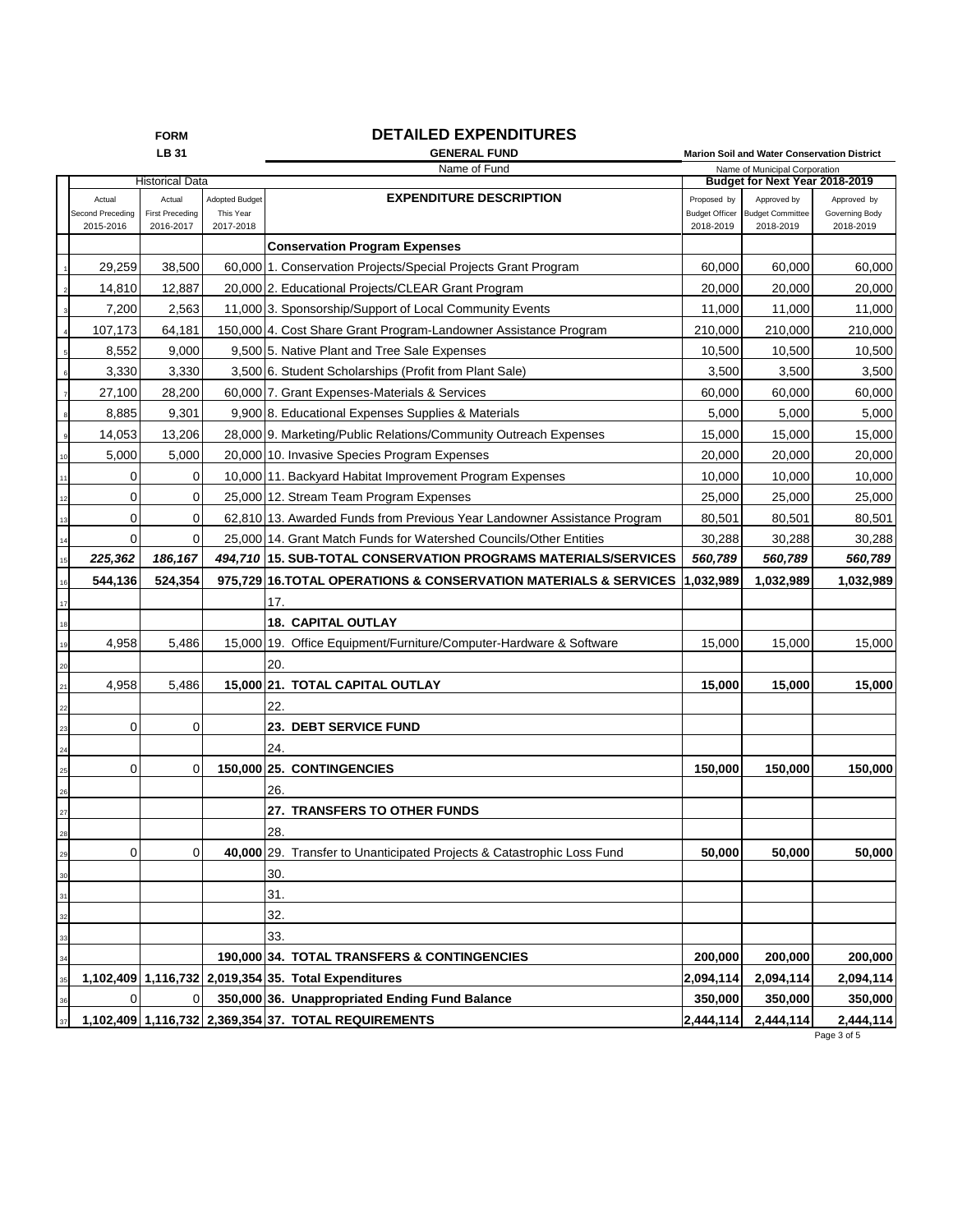|    | <b>DETAILED EXPENDITURES</b><br><b>FORM</b> |                                     |                        |                                                                          |                                    |                                                                 |                             |  |
|----|---------------------------------------------|-------------------------------------|------------------------|--------------------------------------------------------------------------|------------------------------------|-----------------------------------------------------------------|-----------------------------|--|
|    |                                             | <b>LB 31</b>                        |                        | <b>GENERAL FUND</b>                                                      |                                    | Marion Soil and Water Conservation District                     |                             |  |
|    | <b>Historical Data</b>                      |                                     |                        | Name of Fund                                                             |                                    | Name of Municipal Corporation<br>Budget for Next Year 2018-2019 |                             |  |
|    | Actual                                      | Actual                              | <b>Adopted Budget</b>  | <b>EXPENDITURE DESCRIPTION</b>                                           | Proposed by                        | Approved by                                                     | Approved by                 |  |
|    | Second Preceding<br>2015-2016               | <b>First Preceding</b><br>2016-2017 | This Year<br>2017-2018 |                                                                          | <b>Budget Officer</b><br>2018-2019 | <b>Budget Committee</b><br>2018-2019                            | Governing Body<br>2018-2019 |  |
|    |                                             |                                     |                        | <b>Conservation Program Expenses</b>                                     |                                    |                                                                 |                             |  |
|    | 29,259                                      | 38,500                              |                        | 60,000 1. Conservation Projects/Special Projects Grant Program           | 60,000                             | 60,000                                                          | 60,000                      |  |
|    | 14,810                                      | 12,887                              |                        | 20,000 2. Educational Projects/CLEAR Grant Program                       | 20,000                             | 20,000                                                          | 20,000                      |  |
|    | 7,200                                       | 2,563                               |                        | 11,000 3. Sponsorship/Support of Local Community Events                  | 11,000                             | 11,000                                                          | 11,000                      |  |
|    | 107,173                                     | 64,181                              |                        | 150,000 4. Cost Share Grant Program-Landowner Assistance Program         | 210,000                            | 210,000                                                         | 210,000                     |  |
|    | 8,552                                       | 9,000                               |                        | 9,500 5. Native Plant and Tree Sale Expenses                             | 10,500                             | 10,500                                                          | 10,500                      |  |
|    | 3,330                                       | 3,330                               |                        | 3,500 6. Student Scholarships (Profit from Plant Sale)                   | 3,500                              | 3,500                                                           | 3,500                       |  |
|    | 27,100                                      | 28,200                              |                        | 60,000 7. Grant Expenses-Materials & Services                            | 60,000                             | 60,000                                                          | 60,000                      |  |
|    | 8,885                                       | 9,301                               |                        | 9,900 8. Educational Expenses Supplies & Materials                       | 5,000                              | 5,000                                                           | 5,000                       |  |
|    | 14,053                                      | 13,206                              |                        | 28,000 9. Marketing/Public Relations/Community Outreach Expenses         | 15,000                             | 15,000                                                          | 15,000                      |  |
| 10 | 5,000                                       | 5,000                               |                        | 20,000 10. Invasive Species Program Expenses                             | 20,000                             | 20,000                                                          | 20,000                      |  |
| 11 | 0                                           | 0                                   |                        | 10,000 11. Backyard Habitat Improvement Program Expenses                 | 10,000                             | 10,000                                                          | 10,000                      |  |
| 12 | 0                                           | $\mathbf 0$                         |                        | 25,000 12. Stream Team Program Expenses                                  | 25,000                             | 25,000                                                          | 25,000                      |  |
| 13 | 0                                           | $\mathbf 0$                         |                        | 62.810113. Awarded Funds from Previous Year Landowner Assistance Program | 80,501                             | 80,501                                                          | 80,501                      |  |
| 14 | 0                                           | $\mathbf 0$                         |                        | 25,000 14. Grant Match Funds for Watershed Councils/Other Entities       | 30,288                             | 30,288                                                          | 30,288                      |  |
| 15 | 225,362                                     | 186,167                             |                        | 494.710 15. SUB-TOTAL CONSERVATION PROGRAMS MATERIALS/SERVICES           | 560,789                            | 560,789                                                         | 560,789                     |  |
| 16 | 544,136                                     | 524,354                             |                        | 975,729 16. TOTAL OPERATIONS & CONSERVATION MATERIALS & SERVICES         | 1,032,989                          | 1,032,989                                                       | 1,032,989                   |  |
| 17 |                                             |                                     |                        | 17.                                                                      |                                    |                                                                 |                             |  |
| 18 |                                             |                                     |                        | <b>18. CAPITAL OUTLAY</b>                                                |                                    |                                                                 |                             |  |
| 19 | 4,958                                       | 5,486                               |                        | 15,000 19. Office Equipment/Furniture/Computer-Hardware & Software       | 15,000                             | 15,000                                                          | 15,000                      |  |
| 20 |                                             |                                     |                        | 20.                                                                      |                                    |                                                                 |                             |  |
| 21 | 4,958                                       | 5,486                               |                        | 15,000 21. TOTAL CAPITAL OUTLAY                                          | 15,000                             | 15,000                                                          | 15,000                      |  |
| 22 |                                             |                                     |                        | 22.                                                                      |                                    |                                                                 |                             |  |
| 23 | 0                                           | 0                                   |                        | 23. DEBT SERVICE FUND                                                    |                                    |                                                                 |                             |  |
| 24 |                                             |                                     |                        | 24.                                                                      |                                    |                                                                 |                             |  |
| 25 | 0                                           | $\mathbf 0$                         |                        | 150,000 25. CONTINGENCIES                                                | 150,000                            | 150,000                                                         | 150,000                     |  |
| 26 |                                             |                                     |                        | 26.                                                                      |                                    |                                                                 |                             |  |
| 27 |                                             |                                     |                        | 27. TRANSFERS TO OTHER FUNDS                                             |                                    |                                                                 |                             |  |
| 28 |                                             |                                     |                        | 28.                                                                      |                                    |                                                                 |                             |  |
| 29 | 0                                           | 0                                   |                        | 40,000 29. Transfer to Unanticipated Projects & Catastrophic Loss Fund   | 50,000                             | 50,000                                                          | 50,000                      |  |
| 30 |                                             |                                     |                        | 30.                                                                      |                                    |                                                                 |                             |  |
| 31 |                                             |                                     |                        | 31.                                                                      |                                    |                                                                 |                             |  |
| 32 |                                             |                                     |                        | 32.                                                                      |                                    |                                                                 |                             |  |
| 33 |                                             |                                     |                        | 33.                                                                      |                                    |                                                                 |                             |  |
| 34 |                                             |                                     |                        | 190,000 34. TOTAL TRANSFERS & CONTINGENCIES                              | 200,000                            | 200,000                                                         | 200,000                     |  |
| 35 |                                             |                                     |                        | 1,102,409 1,116,732 2,019,354 35. Total Expenditures                     | 2,094,114                          | 2,094,114                                                       | 2,094,114                   |  |
| 36 | 0                                           | 0                                   |                        | 350,000 36. Unappropriated Ending Fund Balance                           | 350,000                            | 350,000                                                         | 350,000                     |  |
| 37 |                                             |                                     |                        | 1,102,409 1,116,732 2,369,354 37. TOTAL REQUIREMENTS                     | 2,444,114                          | 2,444,114                                                       | 2,444,114                   |  |

Page 3 of 5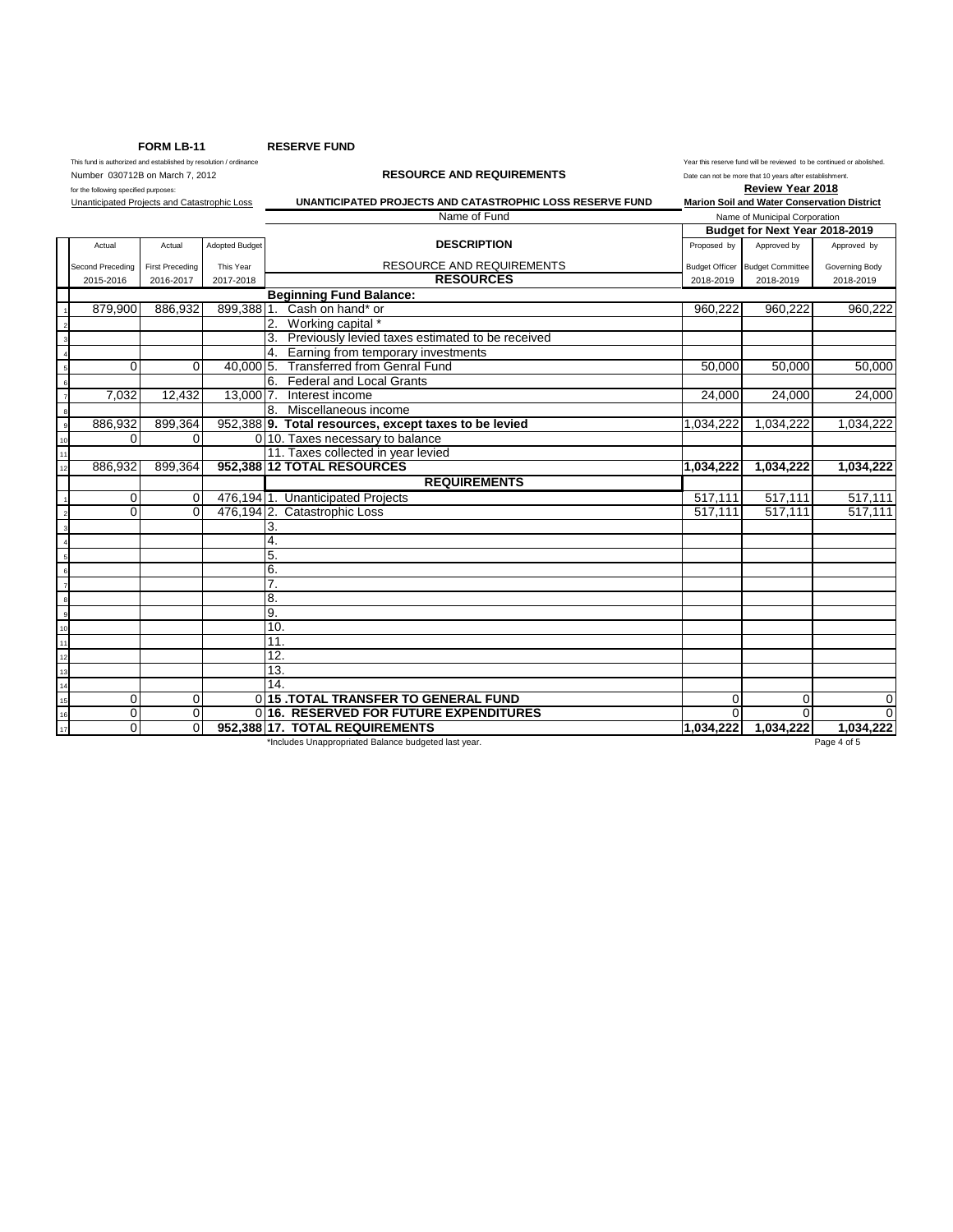**FORM LB-11 RESERVE FUND**

This fund is authorized and established by resolution / ordinance Year this reserve fund will be reviewed to be continued or abolished.<br>Number 030712B on March 7, 2012 7 2012 This reserve fund will be reviewed to be not be THIS TURIS AUTOMETRIS AND THE TRANSPORTED AND REQUIREMENTS Date can not be more that 10 years after establishment.<br>
for the following specified purposes:<br> **Review Year 2018** 

for the following specified purposes: **Review Year 2018** Unanticipated Projects and Catastrophic Loss **UNANTICIPATED PROJECTS AND CATASTROPHIC LOSS RESERVE FUND Marion Soil and Water Conservation District**

|                |                  |                        |                | Name of Fund                                          | Name of Municipal Corporation  |                                 |                |
|----------------|------------------|------------------------|----------------|-------------------------------------------------------|--------------------------------|---------------------------------|----------------|
|                |                  |                        |                |                                                       | Budget for Next Year 2018-2019 |                                 |                |
|                | Actual           | Actual                 | Adopted Budget | <b>DESCRIPTION</b>                                    | Proposed by                    | Approved by                     | Approved by    |
|                | Second Preceding | <b>First Preceding</b> | This Year      | RESOURCE AND REQUIREMENTS                             |                                | Budget Officer Budget Committee | Governing Body |
|                | 2015-2016        | 2016-2017              | 2017-2018      | <b>RESOURCES</b>                                      | 2018-2019                      | 2018-2019                       | 2018-2019      |
|                |                  |                        |                | <b>Beginning Fund Balance:</b>                        |                                |                                 |                |
|                | 879,900          | 886,932                | 899,388 1.     | Cash on hand* or                                      | 960,222                        | 960,222                         | 960,222        |
|                |                  |                        |                | Working capital *                                     |                                |                                 |                |
|                |                  |                        |                | Previously levied taxes estimated to be received      |                                |                                 |                |
|                |                  |                        |                | Earning from temporary investments                    |                                |                                 |                |
|                | $\Omega$         | $\mathbf 0$            | 40,000 5.      | <b>Transferred from Genral Fund</b>                   | 50,000                         | 50,000                          | 50,000         |
|                |                  |                        |                | <b>Federal and Local Grants</b><br>6.                 |                                |                                 |                |
|                | 7,032            | 12,432                 | 13,000 7.      | Interest income                                       | 24,000                         | 24,000                          | 24,000         |
|                |                  |                        |                | Miscellaneous income<br>8.                            |                                |                                 |                |
|                | 886,932          | 899,364                |                | 952,388 9. Total resources, except taxes to be levied | 1,034,222                      | 1,034,222                       | 1,034,222      |
| 10             | $\Omega$         | $\Omega$               |                | 0 10. Taxes necessary to balance                      |                                |                                 |                |
| 11             |                  |                        |                | 11. Taxes collected in year levied                    |                                |                                 |                |
| 12             | 886,932          | 899.364                |                | 952,388 12 TOTAL RESOURCES                            | 1,034,222                      | 1,034,222                       | 1,034,222      |
|                |                  |                        |                | <b>REQUIREMENTS</b>                                   |                                |                                 |                |
|                | $\mathbf 0$      | $\mathbf 0$            |                | 476,1941. Unanticipated Projects                      | 517,111                        | 517,111                         | 517,111        |
|                | $\Omega$         | $\Omega$               |                | 476,194 2. Catastrophic Loss                          | 517.111                        | 517.111                         | 517,111        |
|                |                  |                        |                | 3.                                                    |                                |                                 |                |
|                |                  |                        |                | 4.                                                    |                                |                                 |                |
|                |                  |                        |                | 5.                                                    |                                |                                 |                |
|                |                  |                        |                | 6.                                                    |                                |                                 |                |
|                |                  |                        |                | 7.                                                    |                                |                                 |                |
|                |                  |                        |                | 8.                                                    |                                |                                 |                |
| $\overline{9}$ |                  |                        |                | 9.                                                    |                                |                                 |                |
| 10             |                  |                        |                | 10.                                                   |                                |                                 |                |
| 11             |                  |                        |                | 11.                                                   |                                |                                 |                |
| 12             |                  |                        |                | 12.                                                   |                                |                                 |                |
| 13             |                  |                        |                | 13.                                                   |                                |                                 |                |
| 14             |                  |                        |                | 14.                                                   |                                |                                 |                |
| 15             | $\Omega$         | $\Omega$               |                | 0115 TOTAL TRANSFER TO GENERAL FUND                   | $\Omega$                       | $\Omega$                        | $\mathbf 0$    |
| 16             | 0                | $\mathbf 0$            |                | 016. RESERVED FOR FUTURE EXPENDITURES                 | $\Omega$                       | U                               | $\Omega$       |
| 17             | 0                | $\mathbf{0}$           |                | 952.388 17. TOTAL REQUIREMENTS                        | 1,034,222                      | 1,034,222                       | 1,034,222      |

\*Includes Unappropriated Balance budgeted last year. Page 4 of 5